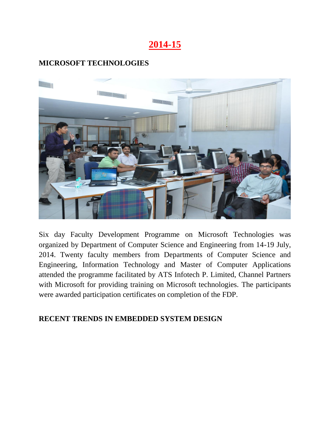# **2014-15**

## **MICROSOFT TECHNOLOGIES**



Six day Faculty Development Programme on Microsoft Technologies was organized by Department of Computer Science and Engineering from 14-19 July, 2014. Twenty faculty members from Departments of Computer Science and Engineering, Information Technology and Master of Computer Applications attended the programme facilitated by ATS Infotech P. Limited, Channel Partners with Microsoft for providing training on Microsoft technologies. The participants were awarded participation certificates on completion of the FDP.

### **RECENT TRENDS IN EMBEDDED SYSTEM DESIGN**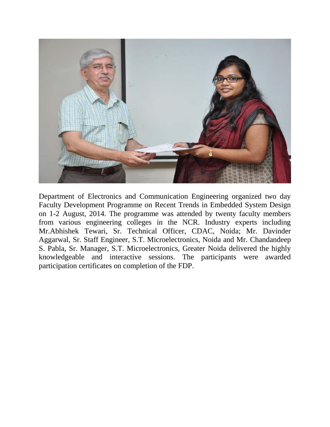

Department of Electronics and Communication Engineering organized two day Faculty Development Programme on Recent Trends in Embedded System Design on 1-2 August, 2014. The programme was attended by twenty faculty members from various engineering colleges in the NCR. Industry experts including Mr.Abhishek Tewari, Sr. Technical Officer, CDAC, Noida; Mr. Davinder Aggarwal, Sr. Staff Engineer, S.T. Microelectronics, Noida and Mr. Chandandeep S. Pabla, Sr. Manager, S.T. Microelectronics, Greater Noida delivered the highly knowledgeable and interactive sessions. The participants were awarded participation certificates on completion of the FDP.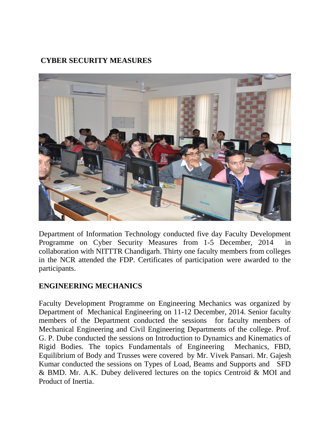# **[CYBER SECURITY MEASURES](http://www.akgec.in/index.php/rad/faculty-development-program/2-uncategorised/389-faculty-development-program-on-cyber-security-measures)**



Department of Information Technology conducted five day Faculty Development Programme on Cyber Security Measures from 1-5 December, 2014 in collaboration with NITTTR Chandigarh. Thirty one faculty members from colleges in the NCR attended the FDP. Certificates of participation were awarded to the participants.

### **ENGINEERING MECHANICS**

Faculty Development Programme on Engineering Mechanics was organized by Department of Mechanical Engineering on 11-12 December, 2014. Senior faculty members of the Department conducted the sessions for faculty members of Mechanical Engineering and Civil Engineering Departments of the college. Prof. G. P. Dube conducted the sessions on Introduction to Dynamics and Kinematics of Rigid Bodies. The topics Fundamentals of Engineering Mechanics, FBD, Equilibrium of Body and Trusses were covered by Mr. Vivek Pansari. Mr. Gajesh Kumar conducted the sessions on Types of Load, Beams and Supports and SFD & BMD. Mr. A.K. Dubey delivered lectures on the topics Centroid & MOI and Product of Inertia.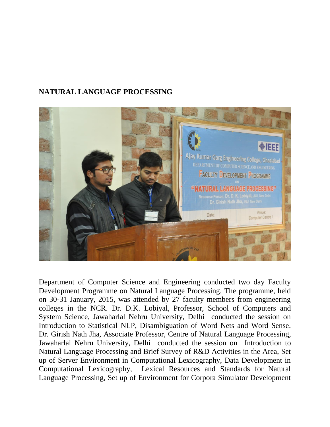## **NATURAL LANGUAGE PROCESSING**



Department of Computer Science and Engineering conducted two day Faculty Development Programme on Natural Language Processing. The programme, held on 30-31 January, 2015, was attended by 27 faculty members from engineering colleges in the NCR. Dr. D.K. Lobiyal, Professor, School of Computers and System Science, Jawaharlal Nehru University, Delhi conducted the session on Introduction to Statistical NLP, Disambiguation of Word Nets and Word Sense. Dr. Girish Nath Jha, Associate Professor, Centre of Natural Language Processing, Jawaharlal Nehru University, Delhi conducted the session on Introduction to Natural Language Processing and Brief Survey of R&D Activities in the Area, Set up of Server Environment in Computational Lexicography, Data Development in Computational Lexicography, Lexical Resources and Standards for Natural Language Processing, Set up of Environment for Corpora Simulator Development